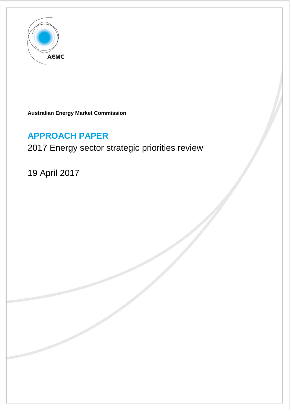

**Australian Energy Market Commission** 

# **APPROACH PAPER**

# 2017 Energy sector strategic priorities review

19 April 2017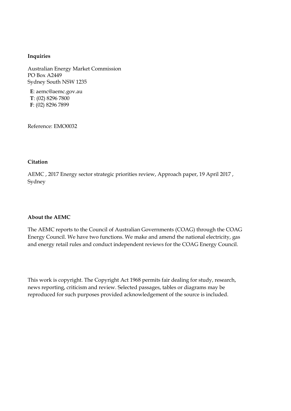#### **Inquiries**

Australian Energy Market Commission PO Box A2449 Sydney South NSW 1235

**E**: aemc@aemc.gov.au **T**: (02) 8296 7800 **F**: (02) 8296 7899

Reference: EMO0032

#### **Citation**

AEMC , 2017 Energy sector strategic priorities review, Approach paper, 19 April 2017 , Sydney

#### **About the AEMC**

The AEMC reports to the Council of Australian Governments (COAG) through the COAG Energy Council. We have two functions. We make and amend the national electricity, gas and energy retail rules and conduct independent reviews for the COAG Energy Council.

This work is copyright. The Copyright Act 1968 permits fair dealing for study, research, news reporting, criticism and review. Selected passages, tables or diagrams may be reproduced for such purposes provided acknowledgement of the source is included.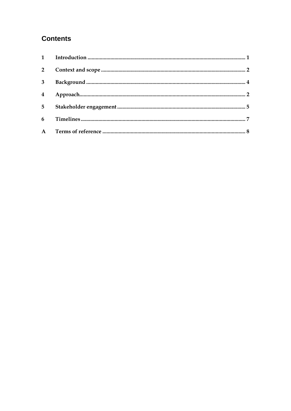# **Contents**

| $\mathbf{1}$            |  |
|-------------------------|--|
| $2^{\circ}$             |  |
| 3                       |  |
| $\overline{\mathbf{4}}$ |  |
| 5 <sup>5</sup>          |  |
| 6                       |  |
|                         |  |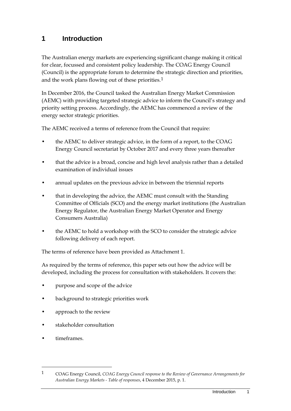### <span id="page-4-0"></span>**1 Introduction**

The Australian energy markets are experiencing significant change making it critical for clear, focussed and consistent policy leadership. The COAG Energy Council (Council) is the appropriate forum to determine the strategic direction and priorities, and the work plans flowing out of these priorities.<sup>[1](#page-4-1)</sup>

In December 2016, the Council tasked the Australian Energy Market Commission (AEMC) with providing targeted strategic advice to inform the Council's strategy and priority setting process. Accordingly, the AEMC has commenced a review of the energy sector strategic priorities.

The AEMC received a terms of reference from the Council that require:

- the AEMC to deliver strategic advice, in the form of a report, to the COAG Energy Council secretariat by October 2017 and every three years thereafter
- that the advice is a broad, concise and high level analysis rather than a detailed examination of individual issues
- annual updates on the previous advice in between the triennial reports
- that in developing the advice, the AEMC must consult with the Standing Committee of Officials (SCO) and the energy market institutions (the Australian Energy Regulator, the Australian Energy Market Operator and Energy Consumers Australia)
- the AEMC to hold a workshop with the SCO to consider the strategic advice following delivery of each report.

The terms of reference have been provided as Attachment 1.

As required by the terms of reference, this paper sets out how the advice will be developed, including the process for consultation with stakeholders. It covers the:

- purpose and scope of the advice
- background to strategic priorities work
- approach to the review
- stakeholder consultation
- timeframes.

<span id="page-4-1"></span><sup>1</sup> COAG Energy Council, *COAG Energy Council response to the Review of Governance Arrangements for Australian Energy Markets - Table of responses*, 4 December 2015, p. 1.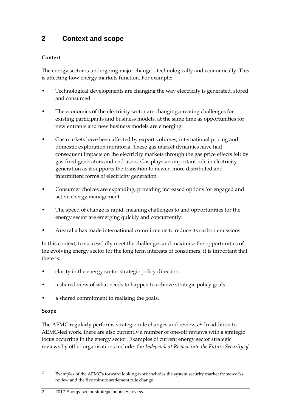# <span id="page-5-0"></span>**2 Context and scope**

### **Context**

The energy sector is undergoing major change – technologically and economically. This is affecting how energy markets function. For example:

- Technological developments are changing the way electricity is generated, stored and consumed.
- The economics of the electricity sector are changing, creating challenges for existing participants and business models, at the same time as opportunities for new entrants and new business models are emerging.
- Gas markets have been affected by export volumes, international pricing and domestic exploration moratoria. These gas market dynamics have had consequent impacts on the electricity markets through the gas price effects felt by gas-fired generators and end users. Gas plays an important role in electricity generation as it supports the transition to newer, more distributed and intermittent forms of electricity generation.
- Consumer choices are expanding, providing increased options for engaged and active energy management.
- The speed of change is rapid, meaning challenges to and opportunities for the energy sector are emerging quickly and concurrently.
- Australia has made international commitments to reduce its carbon emissions.

In this context, to successfully meet the challenges and maximise the opportunities of the evolving energy sector for the long term interests of consumers, it is important that there is:

- clarity in the energy sector strategic policy direction
- a shared view of what needs to happen to achieve strategic policy goals
- a shared commitment to realising the goals.

### **Scope**

-

The AEMC regularly performs strategic rule changes and reviews.[2](#page-5-1) In addition to AEMC-led work, there are also currently a number of one-off reviews with a strategic focus occurring in the energy sector. Examples of current energy sector strategic reviews by other organisations include: the *Independent Review into the Future Security of* 

#### 2 2017 Energy sector strategic priorities review

<span id="page-5-1"></span><sup>2</sup> Examples of the AEMC's forward looking work includes the system security market frameworks review and the five minute settlement rule change.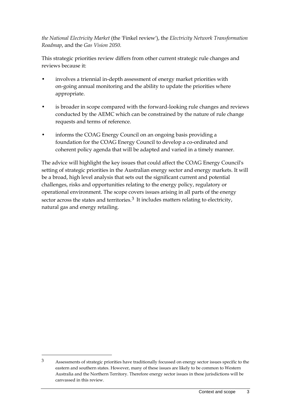*the National Electricity Market* (the 'Finkel review'), the *Electricity Network Transformation Roadmap*, and the *Gas Vision 2050*.

This strategic priorities review differs from other current strategic rule changes and reviews because it:

- involves a triennial in-depth assessment of energy market priorities with on-going annual monitoring and the ability to update the priorities where appropriate.
- is broader in scope compared with the forward-looking rule changes and reviews conducted by the AEMC which can be constrained by the nature of rule change requests and terms of reference.
- informs the COAG Energy Council on an ongoing basis providing a foundation for the COAG Energy Council to develop a co-ordinated and coherent policy agenda that will be adapted and varied in a timely manner.

The advice will highlight the key issues that could affect the COAG Energy Council's setting of strategic priorities in the Australian energy sector and energy markets. It will be a broad, high level analysis that sets out the significant current and potential challenges, risks and opportunities relating to the energy policy, regulatory or operational environment. The scope covers issues arising in all parts of the energy sector across the states and territories.<sup>[3](#page-6-0)</sup> It includes matters relating to electricity, natural gas and energy retailing.

<span id="page-6-0"></span><sup>3</sup> Assessments of strategic priorities have traditionally focussed on energy sector issues specific to the eastern and southern states. However, many of these issues are likely to be common to Western Australia and the Northern Territory. Therefore energy sector issues in these jurisdictions will be canvassed in this review.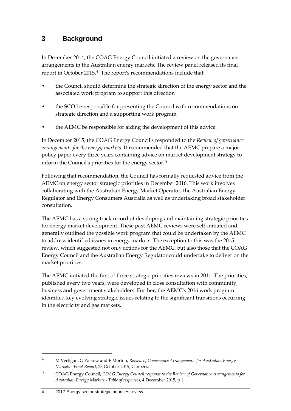### <span id="page-7-0"></span>**3 Background**

In December 2014, the COAG Energy Council initiated a review on the governance arrangements in the Australian energy markets. The review panel released its final report in October 2015.[4](#page-7-1) The report's recommendations include that:

- the Council should determine the strategic direction of the energy sector and the associated work program to support this direction
- the SCO be responsible for presenting the Council with recommendations on strategic direction and a supporting work program
- the AEMC be responsible for aiding the development of this advice.

In December 2015, the COAG Energy Council's responded to the *Review of governance arrangements for the energy markets*. It recommended that the AEMC prepare a major policy paper every three years containing advice on market development strategy to inform the Council's priorities for the energy sector.[5](#page-7-2)

Following that recommendation, the Council has formally requested advice from the AEMC on energy sector strategic priorities in December 2016. This work involves collaborating with the Australian Energy Market Operator, the Australian Energy Regulator and Energy Consumers Australia as well as undertaking broad stakeholder consultation.

The AEMC has a strong track record of developing and maintaining strategic priorities for energy market development. These past AEMC reviews were self-initiated and generally outlined the possible work program that could be undertaken by the AEMC to address identified issues in energy markets. The exception to this was the 2015 review, which suggested not only actions for the AEMC, but also those that the COAG Energy Council and the Australian Energy Regulator could undertake to deliver on the market priorities.

The AEMC initiated the first of three strategic priorities reviews in 2011. The priorities, published every two years, were developed in close consultation with community, business and government stakeholders. Further, the AEMC's 2016 work program identified key evolving strategic issues relating to the significant transitions occurring in the electricity and gas markets.

<span id="page-7-1"></span><sup>4</sup> M Vertigan, G Yarrow and E Morton, *Review of Governance Arrangements for Australian Energy Markets - Final Report*, 23 October 2015, Canberra.

<span id="page-7-2"></span><sup>5</sup> COAG Energy Council, *COAG Energy Council response to the Review of Governance Arrangements for Australian Energy Markets - Table of responses*, 4 December 2015, p 1.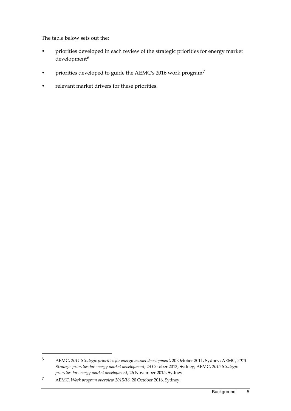The table below sets out the:

- priorities developed in each review of the strategic priorities for energy market development<sup>[6](#page-8-0)</sup>
- priorities developed to guide the AEMC's 2016 work program[7](#page-8-1)
- relevant market drivers for these priorities.

<span id="page-8-0"></span><sup>6</sup> AEMC, *2011 Strategic priorities for energy market development*, 20 October 2011, Sydney; AEMC, *2013 Strategic priorities for energy market development*, 23 October 2013, Sydney; AEMC, *2015 Strategic priorities for energy market development*, 26 November 2015, Sydney.

<span id="page-8-1"></span><sup>7</sup> AEMC, *Work program overview 2015/16*, 20 October 2016, Sydney.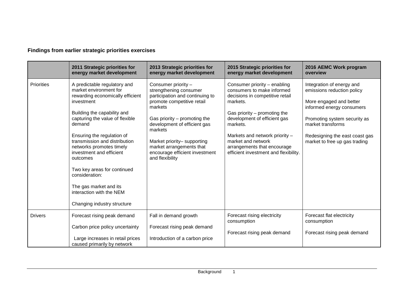### **Findings from earlier strategic priorities exercises**

|                   | 2011 Strategic priorities for<br>energy market development                                                                                                                                                                                                                                                                                                                                                                                                    | 2013 Strategic priorities for<br>energy market development                                                                                                                                                                                                                                                            | 2015 Strategic priorities for<br>energy market development                                                                                                                                                                                                                                                              | 2016 AEMC Work program<br>overview                                                                                                                                                                                                      |
|-------------------|---------------------------------------------------------------------------------------------------------------------------------------------------------------------------------------------------------------------------------------------------------------------------------------------------------------------------------------------------------------------------------------------------------------------------------------------------------------|-----------------------------------------------------------------------------------------------------------------------------------------------------------------------------------------------------------------------------------------------------------------------------------------------------------------------|-------------------------------------------------------------------------------------------------------------------------------------------------------------------------------------------------------------------------------------------------------------------------------------------------------------------------|-----------------------------------------------------------------------------------------------------------------------------------------------------------------------------------------------------------------------------------------|
| <b>Priorities</b> | A predictable regulatory and<br>market environment for<br>rewarding economically efficient<br>investment<br>Building the capability and<br>capturing the value of flexible<br>demand<br>Ensuring the regulation of<br>transmission and distribution<br>networks promotes timely<br>investment and efficient<br>outcomes<br>Two key areas for continued<br>consideration:<br>The gas market and its<br>interaction with the NEM<br>Changing industry structure | Consumer priority -<br>strengthening consumer<br>participation and continuing to<br>promote competitive retail<br>markets<br>Gas priority $-$ promoting the<br>development of efficient gas<br>markets<br>Market priority-supporting<br>market arrangements that<br>encourage efficient investment<br>and flexibility | Consumer priority - enabling<br>consumers to make informed<br>decisions in competitive retail<br>markets.<br>Gas priority $-$ promoting the<br>development of efficient gas<br>markets.<br>Markets and network priority -<br>market and network<br>arrangements that encourage<br>efficient investment and flexibility. | Integration of energy and<br>emissions reduction policy<br>More engaged and better<br>informed energy consumers<br>Promoting system security as<br>market transforms<br>Redesigning the east coast gas<br>market to free up gas trading |
| <b>Drivers</b>    | Forecast rising peak demand<br>Carbon price policy uncertainty<br>Large increases in retail prices<br>caused primarily by network                                                                                                                                                                                                                                                                                                                             | Fall in demand growth<br>Forecast rising peak demand<br>Introduction of a carbon price                                                                                                                                                                                                                                | Forecast rising electricity<br>consumption<br>Forecast rising peak demand                                                                                                                                                                                                                                               | Forecast flat electricity<br>consumption<br>Forecast rising peak demand                                                                                                                                                                 |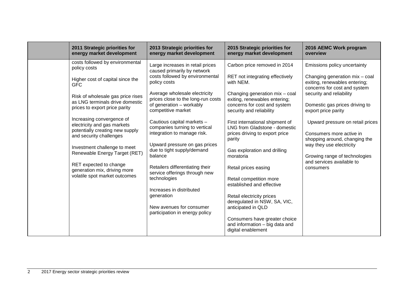| 2011 Strategic priorities for                                                                                                                                                                                                                                                                                                                                                                                                                                                                    | 2013 Strategic priorities for                                                                                                                                                                                                                                                                                                                                                                                                                                                                                                                                                                                   | 2015 Strategic priorities for                                                                                                                                                                                                                                                                                                                                                                                                                                                                                                                                                                                                        | 2016 AEMC Work program                                                                                                                                                                                                                                                                                                                                                                                                       |
|--------------------------------------------------------------------------------------------------------------------------------------------------------------------------------------------------------------------------------------------------------------------------------------------------------------------------------------------------------------------------------------------------------------------------------------------------------------------------------------------------|-----------------------------------------------------------------------------------------------------------------------------------------------------------------------------------------------------------------------------------------------------------------------------------------------------------------------------------------------------------------------------------------------------------------------------------------------------------------------------------------------------------------------------------------------------------------------------------------------------------------|--------------------------------------------------------------------------------------------------------------------------------------------------------------------------------------------------------------------------------------------------------------------------------------------------------------------------------------------------------------------------------------------------------------------------------------------------------------------------------------------------------------------------------------------------------------------------------------------------------------------------------------|------------------------------------------------------------------------------------------------------------------------------------------------------------------------------------------------------------------------------------------------------------------------------------------------------------------------------------------------------------------------------------------------------------------------------|
| energy market development                                                                                                                                                                                                                                                                                                                                                                                                                                                                        | energy market development                                                                                                                                                                                                                                                                                                                                                                                                                                                                                                                                                                                       | energy market development                                                                                                                                                                                                                                                                                                                                                                                                                                                                                                                                                                                                            | overview                                                                                                                                                                                                                                                                                                                                                                                                                     |
| costs followed by environmental<br>policy costs<br>Higher cost of capital since the<br><b>GFC</b><br>Risk of wholesale gas price rises<br>as LNG terminals drive domestic<br>prices to export price parity<br>Increasing convergence of<br>electricity and gas markets<br>potentially creating new supply<br>and security challenges<br>Investment challenge to meet<br>Renewable Energy Target (RET)<br>RET expected to change<br>generation mix, driving more<br>volatile spot market outcomes | Large increases in retail prices<br>caused primarily by network<br>costs followed by environmental<br>policy costs<br>Average wholesale electricity<br>prices close to the long-run costs<br>of generation - workably<br>competitive market<br>Cautious capital markets -<br>companies turning to vertical<br>integration to manage risk.<br>Upward pressure on gas prices<br>due to tight supply/demand<br>balance<br>Retailers differentiating their<br>service offerings through new<br>technologies<br>Increases in distributed<br>generation<br>New avenues for consumer<br>participation in energy policy | Carbon price removed in 2014<br>RET not integrating effectively<br>with NEM.<br>Changing generation mix - coal<br>exiting, renewables entering;<br>concerns for cost and system<br>security and reliability<br>First international shipment of<br>LNG from Gladstone - domestic<br>prices driving to export price<br>parity<br>Gas exploration and drilling<br>moratoria<br>Retail prices easing<br>Retail competition more<br>established and effective<br>Retail electricity prices<br>deregulated in NSW, SA, VIC,<br>anticipated in QLD<br>Consumers have greater choice<br>and information - big data and<br>digital enablement | Emissions policy uncertainty<br>Changing generation mix - coal<br>exiting, renewables entering;<br>concerns for cost and system<br>security and reliability<br>Domestic gas prices driving to<br>export price parity<br>Upward pressure on retail prices<br>Consumers more active in<br>shopping around, changing the<br>way they use electricity<br>Growing range of technologies<br>and services available to<br>consumers |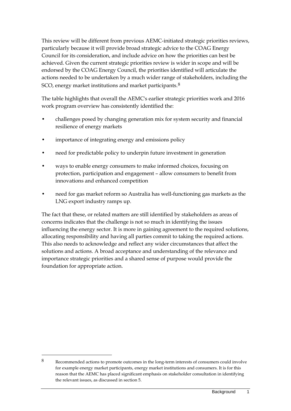This review will be different from previous AEMC-initiated strategic priorities reviews, particularly because it will provide broad strategic advice to the COAG Energy Council for its consideration, and include advice on how the priorities can best be achieved. Given the current strategic priorities review is wider in scope and will be endorsed by the COAG Energy Council, the priorities identified will articulate the actions needed to be undertaken by a much wider range of stakeholders, including the SCO, energy market institutions and market participants.<sup>[8](#page-11-0)</sup>

The table highlights that overall the AEMC's earlier strategic priorities work and 2016 work program overview has consistently identified the:

- challenges posed by changing generation mix for system security and financial resilience of energy markets
- importance of integrating energy and emissions policy
- need for predictable policy to underpin future investment in generation
- ways to enable energy consumers to make informed choices, focusing on protection, participation and engagement – allow consumers to benefit from innovations and enhanced competition
- need for gas market reform so Australia has well-functioning gas markets as the LNG export industry ramps up.

The fact that these, or related matters are still identified by stakeholders as areas of concerns indicates that the challenge is not so much in identifying the issues influencing the energy sector. It is more in gaining agreement to the required solutions, allocating responsibility and having all parties commit to taking the required actions. This also needs to acknowledge and reflect any wider circumstances that affect the solutions and actions. A broad acceptance and understanding of the relevance and importance strategic priorities and a shared sense of purpose would provide the foundation for appropriate action.

<span id="page-11-0"></span><sup>8</sup> Recommended actions to promote outcomes in the long-term interests of consumers could involve for example energy market participants, energy market institutions and consumers. It is for this reason that the AEMC has placed significant emphasis on stakeholder consultation in identifying the relevant issues, as discussed in section 5.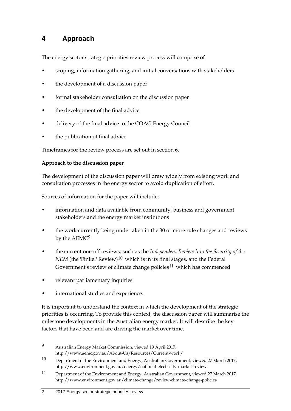# <span id="page-12-0"></span>**4 Approach**

The energy sector strategic priorities review process will comprise of:

- scoping, information gathering, and initial conversations with stakeholders
- the development of a discussion paper
- formal stakeholder consultation on the discussion paper
- the development of the final advice
- delivery of the final advice to the COAG Energy Council
- the publication of final advice.

Timeframes for the review process are set out in section [6.](#page-17-0)

### **Approach to the discussion paper**

The development of the discussion paper will draw widely from existing work and consultation processes in the energy sector to avoid duplication of effort.

Sources of information for the paper will include:

- information and data available from community, business and government stakeholders and the energy market institutions
- the work currently being undertaken in the 30 or more rule changes and reviews by the AEMC[9](#page-12-1)
- the current one-off reviews, such as the *Independent Review into the Security of the NEM* (the 'Finkel' Review)<sup>10</sup> which is in its final stages, and the Federal Government's review of climate change policies<sup>[11](#page-12-3)</sup> which has commenced
- relevant parliamentary inquiries

-

international studies and experience.

It is important to understand the context in which the development of the strategic priorities is occurring. To provide this context, the discussion paper will summarise the milestone developments in the Australian energy market. It will describe the key factors that have been and are driving the market over time.

<span id="page-12-1"></span><sup>9</sup> Australian Energy Market Commission, viewed 19 April 2017, http://www.aemc.gov.au/About-Us/Resources/Current-work/

<span id="page-12-2"></span><sup>10</sup> Department of the Environment and Energy, Australian Government, viewed 27 March 2017, http://www.environment.gov.au/energy/national-electricity-market-review

<span id="page-12-3"></span><sup>11</sup> Department of the Environment and Energy, Australian Government, viewed 27 March 2017, http://www.environment.gov.au/climate-change/review-climate-change-policies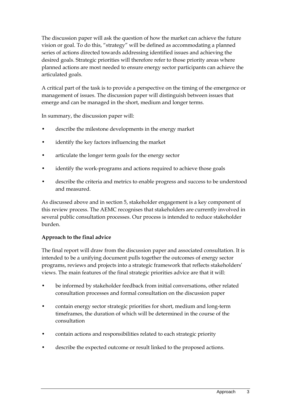The discussion paper will ask the question of how the market can achieve the future vision or goal. To do this, "strategy" will be defined as accommodating a planned series of actions directed towards addressing identified issues and achieving the desired goals. Strategic priorities will therefore refer to those priority areas where planned actions are most needed to ensure energy sector participants can achieve the articulated goals.

A critical part of the task is to provide a perspective on the timing of the emergence or management of issues. The discussion paper will distinguish between issues that emerge and can be managed in the short, medium and longer terms.

In summary, the discussion paper will:

- describe the milestone developments in the energy market
- identify the key factors influencing the market
- articulate the longer term goals for the energy sector
- identify the work-programs and actions required to achieve those goals
- describe the criteria and metrics to enable progress and success to be understood and measured.

As discussed above and in section 5, stakeholder engagement is a key component of this review process. The AEMC recognises that stakeholders are currently involved in several public consultation processes. Our process is intended to reduce stakeholder burden.

#### **Approach to the final advice**

The final report will draw from the discussion paper and associated consultation. It is intended to be a unifying document pulls together the outcomes of energy sector programs, reviews and projects into a strategic framework that reflects stakeholders' views. The main features of the final strategic priorities advice are that it will:

- be informed by stakeholder feedback from initial conversations, other related consultation processes and formal consultation on the discussion paper
- contain energy sector strategic priorities for short, medium and long-term timeframes, the duration of which will be determined in the course of the consultation
- contain actions and responsibilities related to each strategic priority
- describe the expected outcome or result linked to the proposed actions.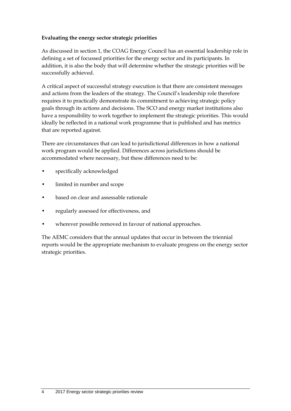### **Evaluating the energy sector strategic priorities**

As discussed in section 1, the COAG Energy Council has an essential leadership role in defining a set of focussed priorities for the energy sector and its participants. In addition, it is also the body that will determine whether the strategic priorities will be successfully achieved.

A critical aspect of successful strategy execution is that there are consistent messages and actions from the leaders of the strategy. The Council's leadership role therefore requires it to practically demonstrate its commitment to achieving strategic policy goals through its actions and decisions. The SCO and energy market institutions also have a responsibility to work together to implement the strategic priorities. This would ideally be reflected in a national work programme that is published and has metrics that are reported against.

There are circumstances that can lead to jurisdictional differences in how a national work program would be applied. Differences across jurisdictions should be accommodated where necessary, but these differences need to be:

- specifically acknowledged
- limited in number and scope
- based on clear and assessable rationale
- regularly assessed for effectiveness, and
- wherever possible removed in favour of national approaches.

The AEMC considers that the annual updates that occur in between the triennial reports would be the appropriate mechanism to evaluate progress on the energy sector strategic priorities.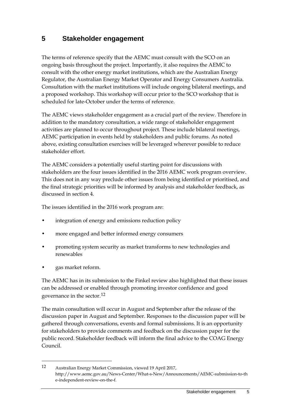### <span id="page-15-0"></span>**5 Stakeholder engagement**

The terms of reference specify that the AEMC must consult with the SCO on an ongoing basis throughout the project. Importantly, it also requires the AEMC to consult with the other energy market institutions, which are the Australian Energy Regulator, the Australian Energy Market Operator and Energy Consumers Australia. Consultation with the market institutions will include ongoing bilateral meetings, and a proposed workshop. This workshop will occur prior to the SCO workshop that is scheduled for late-October under the terms of reference.

The AEMC views stakeholder engagement as a crucial part of the review. Therefore in addition to the mandatory consultation, a wide range of stakeholder engagement activities are planned to occur throughout project. These include bilateral meetings, AEMC participation in events held by stakeholders and public forums. As noted above, existing consultation exercises will be leveraged wherever possible to reduce stakeholder effort.

The AEMC considers a potentially useful starting point for discussions with stakeholders are the four issues identified in the 2016 AEMC work program overview. This does not in any way preclude other issues from being identified or prioritised, and the final strategic priorities will be informed by analysis and stakeholder feedback, as discussed in section 4.

The issues identified in the 2016 work program are:

- integration of energy and emissions reduction policy
- more engaged and better informed energy consumers
- promoting system security as market transforms to new technologies and renewables
- gas market reform.

-

The AEMC has in its submission to the Finkel review also highlighted that these issues can be addressed or enabled through promoting investor confidence and good governance in the sector.[12](#page-15-1)

The main consultation will occur in August and September after the release of the discussion paper in August and September. Responses to the discussion paper will be gathered through conversations, events and formal submissions. It is an opportunity for stakeholders to provide comments and feedback on the discussion paper for the public record. Stakeholder feedback will inform the final advice to the COAG Energy Council.

<span id="page-15-1"></span><sup>12</sup> Australian Energy Market Commission, viewed 19 April 2017, http://www.aemc.gov.au/News-Center/What-s-New/Announcements/AEMC-submission-to-th e-independent-review-on-the-f.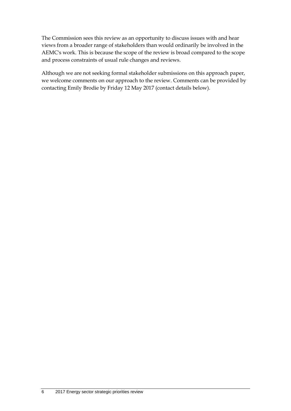The Commission sees this review as an opportunity to discuss issues with and hear views from a broader range of stakeholders than would ordinarily be involved in the AEMC's work. This is because the scope of the review is broad compared to the scope and process constraints of usual rule changes and reviews.

Although we are not seeking formal stakeholder submissions on this approach paper, we welcome comments on our approach to the review. Comments can be provided by contacting Emily Brodie by Friday 12 May 2017 (contact details below).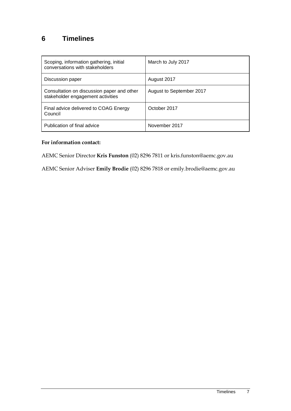# <span id="page-17-0"></span>**6 Timelines**

| Scoping, information gathering, initial<br>conversations with stakeholders      | March to July 2017       |
|---------------------------------------------------------------------------------|--------------------------|
| Discussion paper                                                                | August 2017              |
| Consultation on discussion paper and other<br>stakeholder engagement activities | August to September 2017 |
| Final advice delivered to COAG Energy<br>Council                                | October 2017             |
| Publication of final advice                                                     | November 2017            |

### **For information contact:**

AEMC Senior Director **Kris Funston** (02) 8296 7811 or kris.funston@aemc.gov.au

AEMC Senior Adviser **Emily Brodie** (02) 8296 7818 or emily.brodie@aemc.gov.au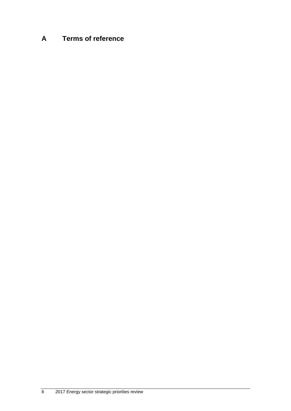# <span id="page-18-0"></span>**A Terms of reference**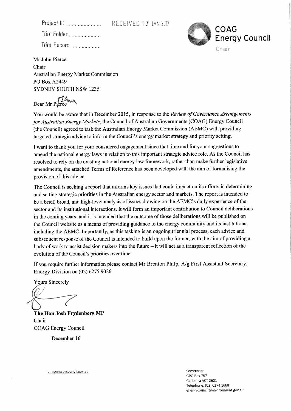RECEIVED 13 JAN 2017

Trim Folder ...................... Trim Record ....................



Mr John Pierce Chair **Australian Energy Market Commission** PO Box A2449 **SYDNEY SOUTH NSW 1235** 

Dear Mr Pierce

You would be aware that in December 2015, in response to the Review of Governance Arrangements for Australian Energy Markets, the Council of Australian Governments (COAG) Energy Council (the Council) agreed to task the Australian Energy Market Commission (AEMC) with providing targeted strategic advice to inform the Council's energy market strategy and priority setting.

I want to thank you for your considered engagement since that time and for your suggestions to amend the national energy laws in relation to this important strategic advice role. As the Council has resolved to rely on the existing national energy law framework, rather than make further legislative amendments, the attached Terms of Reference has been developed with the aim of formalising the provision of this advice.

The Council is seeking a report that informs key issues that could impact on its efforts in determining and setting strategic priorities in the Australian energy sector and markets. The report is intended to be a brief, broad, and high-level analysis of issues drawing on the AEMC's daily experience of the sector and its institutional interactions. It will form an important contribution to Council deliberations in the coming years, and it is intended that the outcome of those deliberations will be published on the Council website as a means of providing guidance to the energy community and its institutions, including the AEMC. Importantly, as this tasking is an ongoing triennial process, each advice and subsequent response of the Council is intended to build upon the former, with the aim of providing a body of work to assist decision makers into the future - it will act as a transparent reflection of the evolution of the Council's priorities over time.

If you require further information please contact Mr Brenton Philp, A/g First Assistant Secretary, Energy Division on  $(02)$  6275 9026.

**Yours Sincerely** 

The Hon Josh Frydenberg MP Chair **COAG Energy Council** 

December 16

coagenergycouncil.gov.au

Secretariat GPO Box 787 Canberra ACT 2601 Telephone: (02) 6274 1668 energycouncil@environment.gov.au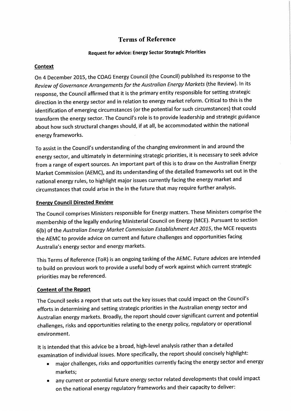### **Terms of Reference**

#### **Request for advice: Energy Sector Strategic Priorities**

#### **Context**

On 4 December 2015, the COAG Energy Council (the Council) published its response to the Review of Governance Arrangements for the Australian Energy Markets (the Review). In its response, the Council affirmed that it is the primary entity responsible for setting strategic direction in the energy sector and in relation to energy market reform. Critical to this is the identification of emerging circumstances (or the potential for such circumstances) that could transform the energy sector. The Council's role is to provide leadership and strategic guidance about how such structural changes should, if at all, be accommodated within the national energy frameworks.

To assist in the Council's understanding of the changing environment in and around the energy sector, and ultimately in determining strategic priorities, it is necessary to seek advice from a range of expert sources. An important part of this is to draw on the Australian Energy Market Commission (AEMC), and its understanding of the detailed frameworks set out in the national energy rules, to highlight major issues currently facing the energy market and circumstances that could arise in the in the future that may require further analysis.

### **Energy Council Directed Review**

The Council comprises Ministers responsible for Energy matters. These Ministers comprise the membership of the legally enduring Ministerial Council on Energy (MCE). Pursuant to section 6(b) of the Australian Energy Market Commission Establishment Act 2015, the MCE requests the AEMC to provide advice on current and future challenges and opportunities facing Australia's energy sector and energy markets.

This Terms of Reference (ToR) is an ongoing tasking of the AEMC. Future advices are intended to build on previous work to provide a useful body of work against which current strategic priorities may be referenced.

#### **Content of the Report**

The Council seeks a report that sets out the key issues that could impact on the Council's efforts in determining and setting strategic priorities in the Australian energy sector and Australian energy markets. Broadly, the report should cover significant current and potential challenges, risks and opportunities relating to the energy policy, regulatory or operational environment.

It is intended that this advice be a broad, high-level analysis rather than a detailed examination of individual issues. More specifically, the report should concisely highlight:

- major challenges, risks and opportunities currently facing the energy sector and energy markets;
- any current or potential future energy sector related developments that could impact on the national energy regulatory frameworks and their capacity to deliver: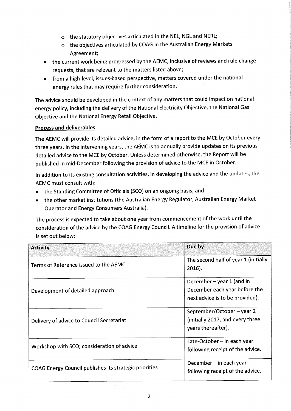- $\circ$  the statutory objectives articulated in the NEL, NGL and NERL;
- $\circ$  the objectives articulated by COAG in the Australian Energy Markets Agreement:
- the current work being progressed by the AEMC, inclusive of reviews and rule change requests, that are relevant to the matters listed above;
- from a high-level, issues-based perspective, matters covered under the national energy rules that may require further consideration.

The advice should be developed in the context of any matters that could impact on national energy policy, including the delivery of the National Electricity Objective, the National Gas Objective and the National Energy Retail Objective.

#### **Process and deliverables**

The AEMC will provide its detailed advice, in the form of a report to the MCE by October every three years. In the intervening years, the AEMC is to annually provide updates on its previous detailed advice to the MCE by October. Unless determined otherwise, the Report will be published in mid-December following the provision of advice to the MCE in October.

In addition to its existing consultation activities, in developing the advice and the updates, the AEMC must consult with:

- the Standing Committee of Officials (SCO) on an ongoing basis; and
- the other market institutions (the Australian Energy Regulator, Australian Energy Market Operator and Energy Consumers Australia).

The process is expected to take about one year from commencement of the work until the consideration of the advice by the COAG Energy Council. A timeline for the provision of advice is set out below:

| <b>Activity</b>                                        | Due by                                                                                        |
|--------------------------------------------------------|-----------------------------------------------------------------------------------------------|
| Terms of Reference issued to the AEMC                  | The second half of year 1 (initially<br>$2016$ ).                                             |
| Development of detailed approach                       | December – year 1 (and in<br>December each year before the<br>next advice is to be provided). |
| Delivery of advice to Council Secretariat              | September/October – year 2<br>(initially 2017, and every three<br>years thereafter).          |
| Workshop with SCO; consideration of advice             | Late-October $-$ in each year<br>following receipt of the advice.                             |
| COAG Energy Council publishes its strategic priorities | December - in each year<br>following receipt of the advice.                                   |

 $\sim$